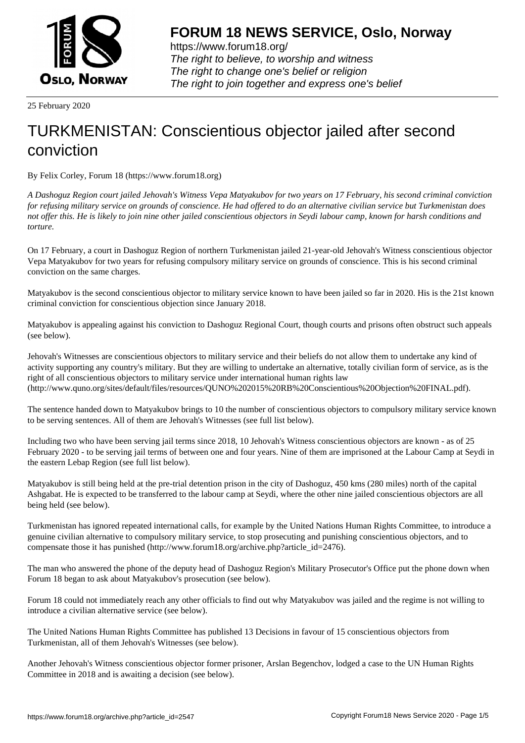

https://www.forum18.org/ The right to believe, to worship and witness The right to change one's belief or religion [The right to join together a](https://www.forum18.org/)nd express one's belief

25 February 2020

## [TURKMENISTA](https://www.forum18.org)N: Conscientious objector jailed after second conviction

By Felix Corley, Forum 18 (https://www.forum18.org)

*A Dashoguz Region court jailed Jehovah's Witness Vepa Matyakubov for two years on 17 February, his second criminal conviction for refusing military service on grounds of conscience. He had offered to do an alternative civilian service but Turkmenistan does not offer this. He is likely to join nine other jailed conscientious objectors in Seydi labour camp, known for harsh conditions and torture.*

On 17 February, a court in Dashoguz Region of northern Turkmenistan jailed 21-year-old Jehovah's Witness conscientious objector Vepa Matyakubov for two years for refusing compulsory military service on grounds of conscience. This is his second criminal conviction on the same charges.

Matyakubov is the second conscientious objector to military service known to have been jailed so far in 2020. His is the 21st known criminal conviction for conscientious objection since January 2018.

Matyakubov is appealing against his conviction to Dashoguz Regional Court, though courts and prisons often obstruct such appeals (see below).

Jehovah's Witnesses are conscientious objectors to military service and their beliefs do not allow them to undertake any kind of activity supporting any country's military. But they are willing to undertake an alternative, totally civilian form of service, as is the right of all conscientious objectors to military service under international human rights law (http://www.quno.org/sites/default/files/resources/QUNO%202015%20RB%20Conscientious%20Objection%20FINAL.pdf).

The sentence handed down to Matyakubov brings to 10 the number of conscientious objectors to compulsory military service known to be serving sentences. All of them are Jehovah's Witnesses (see full list below).

Including two who have been serving jail terms since 2018, 10 Jehovah's Witness conscientious objectors are known - as of 25 February 2020 - to be serving jail terms of between one and four years. Nine of them are imprisoned at the Labour Camp at Seydi in the eastern Lebap Region (see full list below).

Matyakubov is still being held at the pre-trial detention prison in the city of Dashoguz, 450 kms (280 miles) north of the capital Ashgabat. He is expected to be transferred to the labour camp at Seydi, where the other nine jailed conscientious objectors are all being held (see below).

Turkmenistan has ignored repeated international calls, for example by the United Nations Human Rights Committee, to introduce a genuine civilian alternative to compulsory military service, to stop prosecuting and punishing conscientious objectors, and to compensate those it has punished (http://www.forum18.org/archive.php?article\_id=2476).

The man who answered the phone of the deputy head of Dashoguz Region's Military Prosecutor's Office put the phone down when Forum 18 began to ask about Matyakubov's prosecution (see below).

Forum 18 could not immediately reach any other officials to find out why Matyakubov was jailed and the regime is not willing to introduce a civilian alternative service (see below).

The United Nations Human Rights Committee has published 13 Decisions in favour of 15 conscientious objectors from Turkmenistan, all of them Jehovah's Witnesses (see below).

Another Jehovah's Witness conscientious objector former prisoner, Arslan Begenchov, lodged a case to the UN Human Rights Committee in 2018 and is awaiting a decision (see below).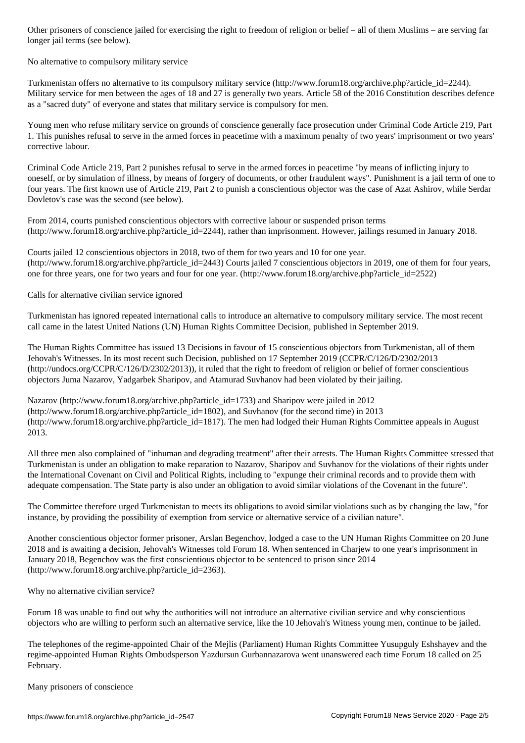longer jail terms (see below).

## No alternative to compulsory military service

Turkmenistan offers no alternative to its compulsory military service (http://www.forum18.org/archive.php?article\_id=2244). Military service for men between the ages of 18 and 27 is generally two years. Article 58 of the 2016 Constitution describes defence as a "sacred duty" of everyone and states that military service is compulsory for men.

Young men who refuse military service on grounds of conscience generally face prosecution under Criminal Code Article 219, Part 1. This punishes refusal to serve in the armed forces in peacetime with a maximum penalty of two years' imprisonment or two years' corrective labour.

Criminal Code Article 219, Part 2 punishes refusal to serve in the armed forces in peacetime "by means of inflicting injury to oneself, or by simulation of illness, by means of forgery of documents, or other fraudulent ways". Punishment is a jail term of one to four years. The first known use of Article 219, Part 2 to punish a conscientious objector was the case of Azat Ashirov, while Serdar Dovletov's case was the second (see below).

From 2014, courts punished conscientious objectors with corrective labour or suspended prison terms (http://www.forum18.org/archive.php?article\_id=2244), rather than imprisonment. However, jailings resumed in January 2018.

Courts jailed 12 conscientious objectors in 2018, two of them for two years and 10 for one year. (http://www.forum18.org/archive.php?article\_id=2443) Courts jailed 7 conscientious objectors in 2019, one of them for four years, one for three years, one for two years and four for one year. (http://www.forum18.org/archive.php?article\_id=2522)

Calls for alternative civilian service ignored

Turkmenistan has ignored repeated international calls to introduce an alternative to compulsory military service. The most recent call came in the latest United Nations (UN) Human Rights Committee Decision, published in September 2019.

The Human Rights Committee has issued 13 Decisions in favour of 15 conscientious objectors from Turkmenistan, all of them Jehovah's Witnesses. In its most recent such Decision, published on 17 September 2019 (CCPR/C/126/D/2302/2013 (http://undocs.org/CCPR/C/126/D/2302/2013)), it ruled that the right to freedom of religion or belief of former conscientious objectors Juma Nazarov, Yadgarbek Sharipov, and Atamurad Suvhanov had been violated by their jailing.

Nazarov (http://www.forum18.org/archive.php?article\_id=1733) and Sharipov were jailed in 2012 (http://www.forum18.org/archive.php?article\_id=1802), and Suvhanov (for the second time) in 2013 (http://www.forum18.org/archive.php?article\_id=1817). The men had lodged their Human Rights Committee appeals in August 2013.

All three men also complained of "inhuman and degrading treatment" after their arrests. The Human Rights Committee stressed that Turkmenistan is under an obligation to make reparation to Nazarov, Sharipov and Suvhanov for the violations of their rights under the International Covenant on Civil and Political Rights, including to "expunge their criminal records and to provide them with adequate compensation. The State party is also under an obligation to avoid similar violations of the Covenant in the future".

The Committee therefore urged Turkmenistan to meets its obligations to avoid similar violations such as by changing the law, "for instance, by providing the possibility of exemption from service or alternative service of a civilian nature".

Another conscientious objector former prisoner, Arslan Begenchov, lodged a case to the UN Human Rights Committee on 20 June 2018 and is awaiting a decision, Jehovah's Witnesses told Forum 18. When sentenced in Charjew to one year's imprisonment in January 2018, Begenchov was the first conscientious objector to be sentenced to prison since 2014 (http://www.forum18.org/archive.php?article\_id=2363).

Why no alternative civilian service?

Forum 18 was unable to find out why the authorities will not introduce an alternative civilian service and why conscientious objectors who are willing to perform such an alternative service, like the 10 Jehovah's Witness young men, continue to be jailed.

The telephones of the regime-appointed Chair of the Mejlis (Parliament) Human Rights Committee Yusupguly Eshshayev and the regime-appointed Human Rights Ombudsperson Yazdursun Gurbannazarova went unanswered each time Forum 18 called on 25 February.

Many prisoners of conscience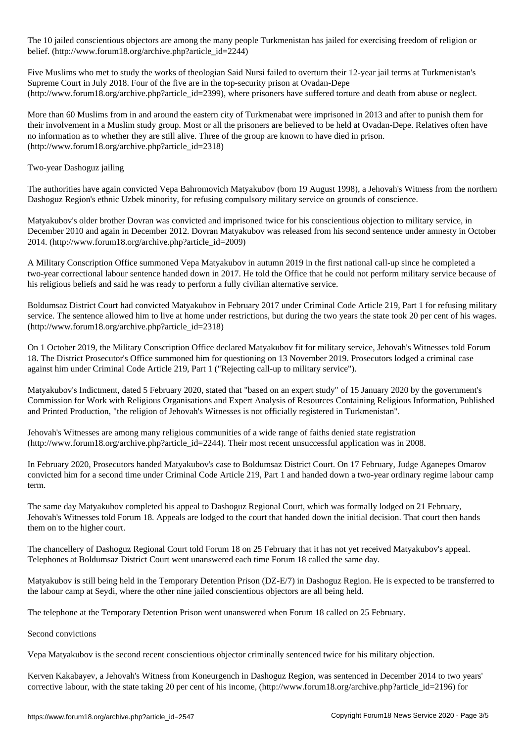The 10 jailed conscientious objectors are among the many people Turkmenistan has jailed for exercising freedom of religion or belief. (http://www.forum18.org/archive.php?article\_id=2244)

Five Muslims who met to study the works of theologian Said Nursi failed to overturn their 12-year jail terms at Turkmenistan's Supreme Court in July 2018. Four of the five are in the top-security prison at Ovadan-Depe (http://www.forum18.org/archive.php?article\_id=2399), where prisoners have suffered torture and death from abuse or neglect.

More than 60 Muslims from in and around the eastern city of Turkmenabat were imprisoned in 2013 and after to punish them for their involvement in a Muslim study group. Most or all the prisoners are believed to be held at Ovadan-Depe. Relatives often have no information as to whether they are still alive. Three of the group are known to have died in prison. (http://www.forum18.org/archive.php?article\_id=2318)

Two-year Dashoguz jailing

The authorities have again convicted Vepa Bahromovich Matyakubov (born 19 August 1998), a Jehovah's Witness from the northern Dashoguz Region's ethnic Uzbek minority, for refusing compulsory military service on grounds of conscience.

Matyakubov's older brother Dovran was convicted and imprisoned twice for his conscientious objection to military service, in December 2010 and again in December 2012. Dovran Matyakubov was released from his second sentence under amnesty in October 2014. (http://www.forum18.org/archive.php?article\_id=2009)

A Military Conscription Office summoned Vepa Matyakubov in autumn 2019 in the first national call-up since he completed a two-year correctional labour sentence handed down in 2017. He told the Office that he could not perform military service because of his religious beliefs and said he was ready to perform a fully civilian alternative service.

Boldumsaz District Court had convicted Matyakubov in February 2017 under Criminal Code Article 219, Part 1 for refusing military service. The sentence allowed him to live at home under restrictions, but during the two years the state took 20 per cent of his wages. (http://www.forum18.org/archive.php?article\_id=2318)

On 1 October 2019, the Military Conscription Office declared Matyakubov fit for military service, Jehovah's Witnesses told Forum 18. The District Prosecutor's Office summoned him for questioning on 13 November 2019. Prosecutors lodged a criminal case against him under Criminal Code Article 219, Part 1 ("Rejecting call-up to military service").

Matyakubov's Indictment, dated 5 February 2020, stated that "based on an expert study" of 15 January 2020 by the government's Commission for Work with Religious Organisations and Expert Analysis of Resources Containing Religious Information, Published and Printed Production, "the religion of Jehovah's Witnesses is not officially registered in Turkmenistan".

Jehovah's Witnesses are among many religious communities of a wide range of faiths denied state registration (http://www.forum18.org/archive.php?article\_id=2244). Their most recent unsuccessful application was in 2008.

In February 2020, Prosecutors handed Matyakubov's case to Boldumsaz District Court. On 17 February, Judge Aganepes Omarov convicted him for a second time under Criminal Code Article 219, Part 1 and handed down a two-year ordinary regime labour camp term.

The same day Matyakubov completed his appeal to Dashoguz Regional Court, which was formally lodged on 21 February, Jehovah's Witnesses told Forum 18. Appeals are lodged to the court that handed down the initial decision. That court then hands them on to the higher court.

The chancellery of Dashoguz Regional Court told Forum 18 on 25 February that it has not yet received Matyakubov's appeal. Telephones at Boldumsaz District Court went unanswered each time Forum 18 called the same day.

Matyakubov is still being held in the Temporary Detention Prison (DZ-E/7) in Dashoguz Region. He is expected to be transferred to the labour camp at Seydi, where the other nine jailed conscientious objectors are all being held.

The telephone at the Temporary Detention Prison went unanswered when Forum 18 called on 25 February.

Second convictions

Vepa Matyakubov is the second recent conscientious objector criminally sentenced twice for his military objection.

Kerven Kakabayev, a Jehovah's Witness from Koneurgench in Dashoguz Region, was sentenced in December 2014 to two years' corrective labour, with the state taking 20 per cent of his income,  $\frac{http://www.forum18.org/architecture.php?article id=2196)}{$  for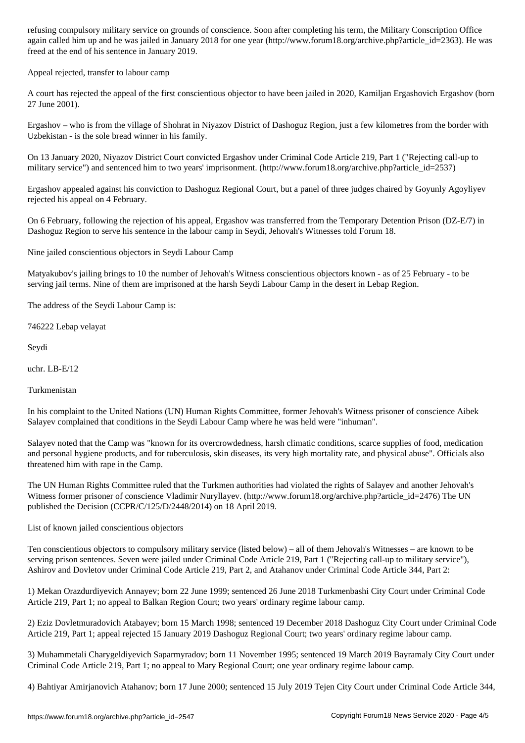again called him up and he was jailed in January 2018 for one year (http://www.forum18.org/archive.php?article\_id=2363). He was freed at the end of his sentence in January 2019.

Appeal rejected, transfer to labour camp

A court has rejected the appeal of the first conscientious objector to have been jailed in 2020, Kamiljan Ergashovich Ergashov (born 27 June 2001).

Ergashov – who is from the village of Shohrat in Niyazov District of Dashoguz Region, just a few kilometres from the border with Uzbekistan - is the sole bread winner in his family.

On 13 January 2020, Niyazov District Court convicted Ergashov under Criminal Code Article 219, Part 1 ("Rejecting call-up to military service") and sentenced him to two years' imprisonment. (http://www.forum18.org/archive.php?article\_id=2537)

Ergashov appealed against his conviction to Dashoguz Regional Court, but a panel of three judges chaired by Goyunly Agoyliyev rejected his appeal on 4 February.

On 6 February, following the rejection of his appeal, Ergashov was transferred from the Temporary Detention Prison (DZ-E/7) in Dashoguz Region to serve his sentence in the labour camp in Seydi, Jehovah's Witnesses told Forum 18.

Nine jailed conscientious objectors in Seydi Labour Camp

Matyakubov's jailing brings to 10 the number of Jehovah's Witness conscientious objectors known - as of 25 February - to be serving jail terms. Nine of them are imprisoned at the harsh Seydi Labour Camp in the desert in Lebap Region.

The address of the Seydi Labour Camp is:

746222 Lebap velayat

Seydi

uchr. LB-E/12

Turkmenistan

In his complaint to the United Nations (UN) Human Rights Committee, former Jehovah's Witness prisoner of conscience Aibek Salayev complained that conditions in the Seydi Labour Camp where he was held were "inhuman".

Salayev noted that the Camp was "known for its overcrowdedness, harsh climatic conditions, scarce supplies of food, medication and personal hygiene products, and for tuberculosis, skin diseases, its very high mortality rate, and physical abuse". Officials also threatened him with rape in the Camp.

The UN Human Rights Committee ruled that the Turkmen authorities had violated the rights of Salayev and another Jehovah's Witness former prisoner of conscience Vladimir Nuryllayev. (http://www.forum18.org/archive.php?article\_id=2476) The UN published the Decision (CCPR/C/125/D/2448/2014) on 18 April 2019.

List of known jailed conscientious objectors

Ten conscientious objectors to compulsory military service (listed below) – all of them Jehovah's Witnesses – are known to be serving prison sentences. Seven were jailed under Criminal Code Article 219, Part 1 ("Rejecting call-up to military service"), Ashirov and Dovletov under Criminal Code Article 219, Part 2, and Atahanov under Criminal Code Article 344, Part 2:

1) Mekan Orazdurdiyevich Annayev; born 22 June 1999; sentenced 26 June 2018 Turkmenbashi City Court under Criminal Code Article 219, Part 1; no appeal to Balkan Region Court; two years' ordinary regime labour camp.

2) Eziz Dovletmuradovich Atabayev; born 15 March 1998; sentenced 19 December 2018 Dashoguz City Court under Criminal Code Article 219, Part 1; appeal rejected 15 January 2019 Dashoguz Regional Court; two years' ordinary regime labour camp.

3) Muhammetali Charygeldiyevich Saparmyradov; born 11 November 1995; sentenced 19 March 2019 Bayramaly City Court under Criminal Code Article 219, Part 1; no appeal to Mary Regional Court; one year ordinary regime labour camp.

4) Bahtiyar Amirjanovich Atahanov; born 17 June 2000; sentenced 15 July 2019 Tejen City Court under Criminal Code Article 344,